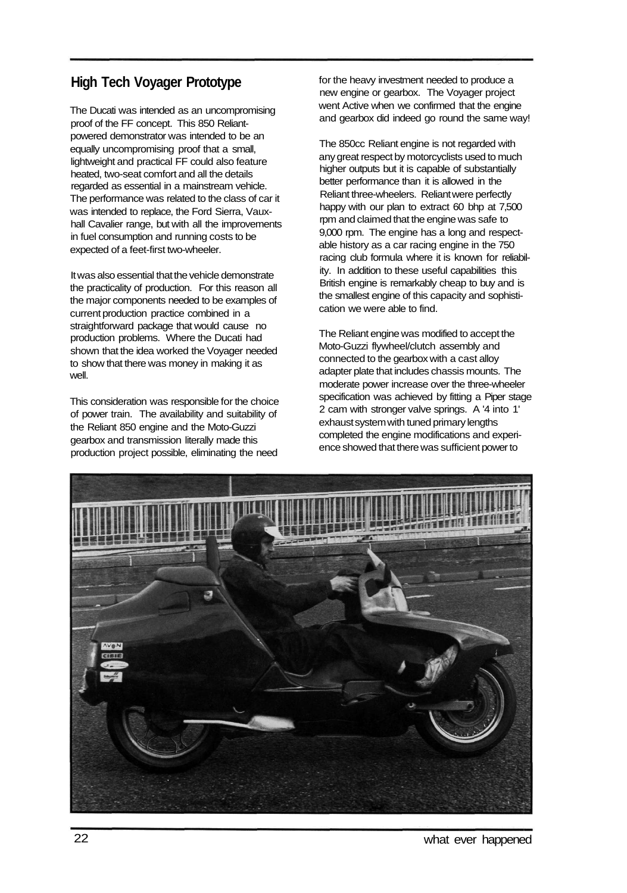## **High Tech Voyager Prototype**

The Ducati was intended as an uncompromising proof of the FF concept. This 850 Reliantpowered demonstrator was intended to be an equally uncompromising proof that a small, lightweight and practical FF could also feature heated, two-seat comfort and all the details regarded as essential in a mainstream vehicle. The performance was related to the class of car it was intended to replace, the Ford Sierra, Vauxhall Cavalier range, but with all the improvements in fuel consumption and running costs to be expected of a feet-first two-wheeler.

It was also essential that the vehicle demonstrate the practicality of production. For this reason all the major components needed to be examples of current production practice combined in a straightforward package that would cause no production problems. Where the Ducati had shown that the idea worked the Voyager needed to show that there was money in making it as well.

This consideration was responsible for the choice of power train. The availability and suitability of the Reliant 850 engine and the Moto-Guzzi gearbox and transmission literally made this production project possible, eliminating the need

for the heavy investment needed to produce a new engine or gearbox. The Voyager project went Active when we confirmed that the engine and gearbox did indeed go round the same way!

The 850cc Reliant engine is not regarded with any great respect by motorcyclists used to much higher outputs but it is capable of substantially better performance than it is allowed in the Reliant three-wheelers. Reliant were perfectly happy with our plan to extract 60 bhp at 7,500 rpm and claimed that the engine was safe to 9,000 rpm. The engine has a long and respectable history as a car racing engine in the 750 racing club formula where it is known for reliability. In addition to these useful capabilities this British engine is remarkably cheap to buy and is the smallest engine of this capacity and sophistication we were able to find.

The Reliant engine was modified to accept the Moto-Guzzi flywheel/clutch assembly and connected to the gearbox with a cast alloy adapter plate that includes chassis mounts. The moderate power increase over the three-wheeler specification was achieved by fitting a Piper stage 2 cam with stronger valve springs. A '4 into 1' exhaust system with tuned primary lengths completed the engine modifications and experience showed that there was sufficient power to